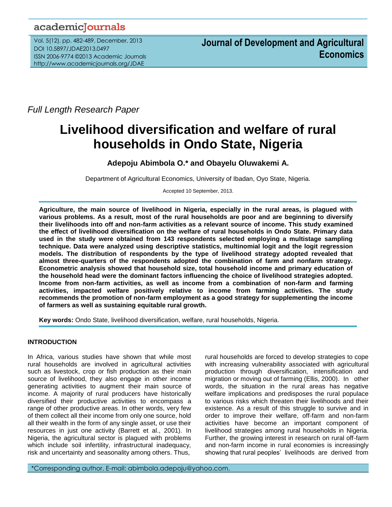## academicJournals

Vol. 5(12), pp. 482-489, December, 2013 DOI 10.5897/JDAE2013.0497 ISSN 2006-9774 ©2013 Academic Journals http://www.academicjournals.org/JDAE

*Full Length Research Paper*

# **Livelihood diversification and welfare of rural households in Ondo State, Nigeria**

**Adepoju Abimbola O.\* and Obayelu Oluwakemi A.**

Department of Agricultural Economics, University of Ibadan, Oyo State, Nigeria.

Accepted 10 September, 2013.

**Agriculture, the main source of livelihood in Nigeria, especially in the rural areas, is plagued with various problems. As a result, most of the rural households are poor and are beginning to diversify their livelihoods into off and non-farm activities as a relevant source of income. This study examined the effect of livelihood diversification on the welfare of rural households in Ondo State. Primary data used in the study were obtained from 143 respondents selected employing a multistage sampling technique. Data were analyzed using descriptive statistics, multinomial logit and the logit regression models. The distribution of respondents by the type of livelihood strategy adopted revealed that almost three-quarters of the respondents adopted the combination of farm and nonfarm strategy. Econometric analysis showed that household size, total household income and primary education of the household head were the dominant factors influencing the choice of livelihood strategies adopted. Income from non-farm activities, as well as income from a combination of non-farm and farming activities, impacted welfare positively relative to income from farming activities. The study recommends the promotion of non-farm employment as a good strategy for supplementing the income of farmers as well as sustaining equitable rural growth.**

**Key words:** Ondo State, livelihood diversification, welfare, rural households, Nigeria.

## **INTRODUCTION**

In Africa, various studies have shown that while most rural households are involved in agricultural activities such as livestock, crop or fish production as their main source of livelihood, they also engage in other income generating activities to augment their main source of income. A majority of rural producers have historically diversified their productive activities to encompass a range of other productive areas. In other words, very few of them collect all their income from only one source, hold all their wealth in the form of any single asset, or use their resources in just one activity (Barrett et al., 2001). In Nigeria, the agricultural sector is plagued with problems which include soil infertility, infrastructural inadequacy, risk and uncertainty and seasonality among others. Thus,

rural households are forced to develop strategies to cope with increasing vulnerability associated with agricultural production through diversification, intensification and migration or moving out of farming (Ellis, 2000). In other words, the situation in the rural areas has negative welfare implications and predisposes the rural populace to various risks which threaten their livelihoods and their existence. As a result of this struggle to survive and in order to improve their welfare, off-farm and non-farm activities have become an important component of livelihood strategies among rural households in Nigeria. Further, the growing interest in research on rural off-farm and non-farm income in rural economies is increasingly showing that rural peoples' livelihoods are derived from

\*Corresponding author. E-mail: abimbola.adepoju@yahoo.com.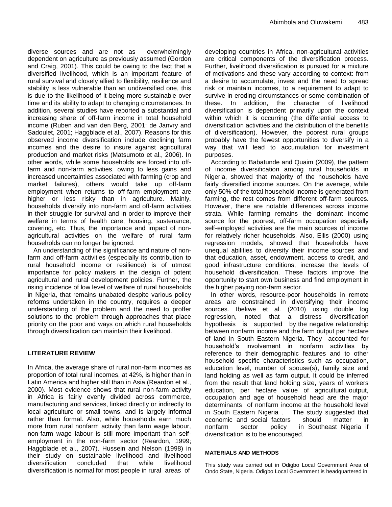diverse sources and are not as overwhelmingly dependent on agriculture as previously assumed (Gordon and Craig, 2001). This could be owing to the fact that a diversified livelihood, which is an important feature of rural survival and closely allied to flexibility, resilience and stability is less vulnerable than an undiversified one, this is due to the likelihood of it being more sustainable over time and its ability to adapt to changing circumstances. In addition, several studies have reported a substantial and increasing share of off-farm income in total household income (Ruben and van den Berg, 2001; de Janvry and Sadoulet, 2001; Haggblade et al., 2007). Reasons for this observed income diversification include declining farm incomes and the desire to insure against agricultural production and market risks (Matsumoto et al., 2006). In other words, while some households are forced into offfarm and non-farm activities, owing to less gains and increased uncertainties associated with farming (crop and market failures), others would take up off-farm employment when returns to off-farm employment are higher or less risky than in agriculture. Mainly, households diversify into non-farm and off-farm activities in their struggle for survival and in order to improve their welfare in terms of health care, housing, sustenance, covering, etc. Thus, the importance and impact of nonagricultural activities on the welfare of rural farm households can no longer be ignored.

An understanding of the significance and nature of nonfarm and off-farm activities (especially its contribution to rural household income or resilience) is of utmost importance for policy makers in the design of potent agricultural and rural development policies. Further, the rising incidence of low level of welfare of rural households in Nigeria, that remains unabated despite various policy reforms undertaken in the country, requires a deeper understanding of the problem and the need to proffer solutions to the problem through approaches that place priority on the poor and ways on which rural households through diversification can maintain their livelihood.

## **LITERATURE REVIEW**

In Africa, the average share of rural non-farm incomes as proportion of total rural incomes, at 42%, is higher than in Latin America and higher still than in Asia (Reardon et al., 2000). Most evidence shows that rural non-farm activity in Africa is fairly evenly divided across commerce, manufacturing and services, linked directly or indirectly to local agriculture or small towns, and is largely informal rather than formal. Also, while households earn much more from rural nonfarm activity than farm wage labour, non-farm wage labour is still more important than selfemployment in the non-farm sector (Reardon, 1999; Haggblade et al., 2007). Hussein and Nelson (1998) in their study on sustainable livelihood and livelihood diversification concluded that while livelihood diversification is normal for most people in rural areas of

developing countries in Africa, non-agricultural activities are critical components of the diversification process. Further, livelihood diversification is pursued for a mixture of motivations and these vary according to context: from a desire to accumulate, invest and the need to spread risk or maintain incomes, to a requirement to adapt to survive in eroding circumstances or some combination of these. In addition, the character of livelihood diversification is dependent primarily upon the context within which it is occurring (the differential access to diversification activities and the distribution of the benefits of diversification). However, the poorest rural groups probably have the fewest opportunities to diversify in a way that will lead to accumulation for investment purposes.

According to Babatunde and Quaim (2009), the pattern of income diversification among rural households in Nigeria, showed that majority of the households have fairly diversified income sources. On the average, while only 50% of the total household income is generated from farming, the rest comes from different off-farm sources. However, there are notable differences across income strata. While farming remains the dominant income source for the poorest, off-farm occupation especially self-employed activities are the main sources of income for relatively richer households. Also, Ellis (2000) using regression models, showed that households have unequal abilities to diversify their income sources and that education, asset, endowment, access to credit, and good infrastructure conditions, increase the levels of household diversification. These factors improve the opportunity to start own business and find employment in the higher paying non-farm sector.

In other words, resource-poor households in remote areas are constrained in diversifying their income sources. Ibekwe et al. (2010) using double log regression, noted that a distress diversification hypothesis is supported by the negative relationship between nonfarm income and the farm output per hectare of land in South Eastern Nigeria. They accounted for household's involvement in nonfarm activities by reference to their demographic features and to other household specific characteristics such as occupation, education level, number of spouse(s), family size and land holding as well as farm output. It could be inferred from the result that land holding size, years of workers education, per hectare value of agricultural output, occupation and age of household head are the major determinants of nonfarm income at the household level in South Eastern Nigeria . The study suggested that economic and social factors should matter in nonfarm sector policy in Southeast Nigeria if diversification is to be encouraged.

## **MATERIALS AND METHODS**

This study was carried out in Odigbo Local Government Area of Ondo State, Nigeria. Odigbo Local Government is headquartered in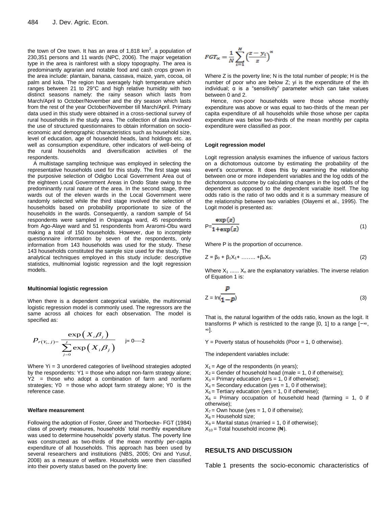the town of Ore town. It has an area of 1,818  $km^2$ , a population of 230,351 persons and 11 wards (NPC, 2006). The major vegetation type in the area is rainforest with a slopy topography. The area is predominantly agrarian and notable food and cash crops grown in the area include: plantain, banana, cassava, maize, yam, cocoa, oil palm and kola. The region has averagely high temperature which ranges between 21 to 29°C and high relative humidity with two distinct seasons namely: the rainy season which lasts from March/April to October/November and the dry season which lasts from the rest of the year October/November till March/April. Primary data used in this study were obtained in a cross-sectional survey of rural households in the study area. The collection of data involved the use of structured questionnaires to obtain information on socioeconomic and demographic characteristics such as household size, level of education, age of household heads, land holdings etc. as well as consumption expenditure, other indicators of well-being of the rural households and diversification activities of the respondents.

A multistage sampling technique was employed in selecting the representative households used for this study. The first stage was the purposive selection of Odigbo Local Government Area out of the eighteen Local Government Areas in Ondo State owing to the predominantly rural nature of the area. In the second stage, three wards out of the eleven wards in the Local Government were randomly selected while the third stage involved the selection of households based on probability proportionate to size of the households in the wards. Consequently, a random sample of 54 respondents were sampled in Oniparaga ward, 45 respondents from Ago-Alaye ward and 51 respondents from Araromi-Obu ward making a total of 150 households. However, due to incomplete questionnaire information by seven of the respondents, only information from 143 households was used for the study. These 143 households constituted the sample size used for the study. The analytical techniques employed in this study include: descriptive statistics, multinomial logistic regression and the logit regression models.

#### **Multinomial logistic regression**

When there is a dependent categorical variable, the multinomial logistic regression model is commonly used. The regressors are the same across all choices for each observation. The model is specified as:

$$
{P}_{r(Y_{i=}j)=}\frac{\exp\left(\,X_{\,i}\beta_{\,j}\,\right)}{\displaystyle\sum_{j=0}^{J}\exp\left(\,X_{\,i}\beta_{\,j}\,\right)}\qquad j=\text{0}---2}
$$

Where Yi = 3 unordered categories of livelihood strategies adopted by the respondents:  $Y1$  = those who adopt non-farm strategy alone; Y2 = those who adopt a combination of farm and nonfarm strategies;  $Y0 =$  those who adopt farm strategy alone;  $Y0$  is the reference case.

#### **Welfare measurement**

Following the adoption of Foster, Greer and Thorbecke- FGT (1984) class of poverty measures, households' total monthly expenditure was used to determine households' poverty status. The poverty line was constructed as two-thirds of the mean monthly per-capita expenditure of all households. This approach has been used by several researchers and institutions (NBS, 2005; Oni and Yusuf, 2008) as a measure of welfare. Households were then classified into their poverty status based on the poverty line:

$$
FGT_{\alpha} = \frac{1}{N} \sum_{i=1}^{H} \left(\frac{z - y_i}{z}\right)^{\alpha}
$$

Where Z is the poverty line; N is the total number of people; H is the number of poor who are below Z; yi is the expenditure of the ith individual; α is a "sensitivity" parameter which can take values between 0 and 2.

Hence, non-poor households were those whose monthly expenditure was above or was equal to two-thirds of the mean per capita expenditure of all households while those whose per capita expenditure was below two-thirds of the mean monthly per capita expenditure were classified as poor.

#### **Logit regression model**

Logit regression analysis examines the influence of various factors on a dichotomous outcome by estimating the probability of the event's occurrence. It does this by examining the relationship between one or more independent variables and the log odds of the dichotomous outcome by calculating changes in the log odds of the dependent as opposed to the dependent variable itself. The log odds ratio is the ratio of two odds and it is a summary measure of the relationship between two variables (Olayemi et al., 1995). The Logit model is presented as:

$$
P = \frac{\exp(z)}{1 + \exp(z)}\tag{1}
$$

Where P is the proportion of occurrence.

$$
Z = \beta_0 + \beta_1 X_1 + \dots + \beta_n X_n \tag{2}
$$

Where  $X_1$  ......  $X_n$  are the explanatory variables. The inverse relation of Equation 1 is:

$$
Z = \ln(\frac{P}{1 - P})
$$
 (3)

That is, the natural logarithm of the odds ratio, known as the logit. It transforms P which is restricted to the range [0, 1] to a range [−∞, ∞].

 $Y =$  Poverty status of households (Poor = 1, 0 otherwise).

The independent variables include:

- $X_1$  = Age of the respondents (in years);
- $X_2$  = Gender of household head (male = 1, 0 if otherwise);
- $X_3$  = Primary education (yes = 1, 0 if otherwise);
- $X_4$  = Secondary education (yes = 1, 0 if otherwise);
- $X_5$  = Tertiary education (yes = 1, 0 if otherwise);
- $X_6$  = Primary occupation of household head (farming = 1, 0 if otherwise);
- $X_7$  = Own house (yes = 1, 0 if otherwise);
- $X_8$  = Household size;
- $X_9$  = Marital status (married = 1, 0 if otherwise);
- $X_{10}$  = Total household income ( $\mathbf{\Theta}$ ).

### **RESULTS AND DISCUSSION**

Table 1 presents the socio-economic characteristics of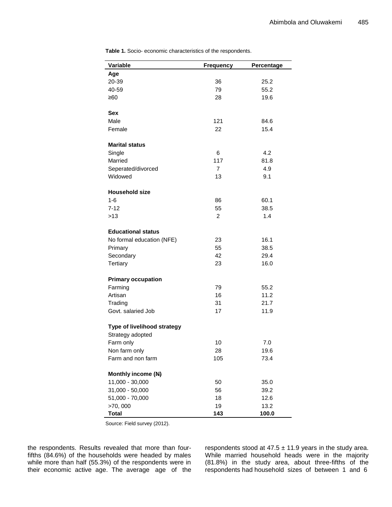| Variable                    | <b>Frequency</b> | Percentage |
|-----------------------------|------------------|------------|
| Age                         |                  |            |
| 20-39                       | 36               | 25.2       |
| 40-59                       | 79               | 55.2       |
| $\geq 60$                   | 28               | 19.6       |
| <b>Sex</b>                  |                  |            |
| Male                        | 121              | 84.6       |
| Female                      | 22               | 15.4       |
| <b>Marital status</b>       |                  |            |
| Single                      | 6                | 4.2        |
| Married                     | 117              | 81.8       |
| Seperated/divorced          | $\overline{7}$   | 4.9        |
| Widowed                     | 13               | 9.1        |
| <b>Household size</b>       |                  |            |
| $1 - 6$                     | 86               | 60.1       |
| $7 - 12$                    | 55               | 38.5       |
| >13                         | $\overline{2}$   | 1.4        |
| <b>Educational status</b>   |                  |            |
| No formal education (NFE)   | 23               | 16.1       |
| Primary                     | 55               | 38.5       |
| Secondary                   | 42               | 29.4       |
| Tertiary                    | 23               | 16.0       |
| <b>Primary occupation</b>   |                  |            |
| Farming                     | 79               | 55.2       |
| Artisan                     | 16               | 11.2       |
| Trading                     | 31               | 21.7       |
| Govt. salaried Job          | 17               | 11.9       |
| Type of livelihood strategy |                  |            |
| Strategy adopted            |                  |            |
| Farm only                   | 10               | 7.0        |
| Non farm only               | 28               | 19.6       |
| Farm and non farm           | 105              | 73.4       |
| Monthly income (N)          |                  |            |
| 11,000 - 30,000             | 50               | 35.0       |
| 31,000 - 50,000             | 56               | 39.2       |
| 51,000 - 70,000             | 18               | 12.6       |
| >70,000                     | 19               | 13.2       |
| <b>Total</b>                | 143              | 100.0      |

**Table 1.** Socio- economic characteristics of the respondents.

Source: Field survey (2012).

the respondents. Results revealed that more than fourfifths (84.6%) of the households were headed by males while more than half (55.3%) of the respondents were in their economic active age. The average age of the respondents stood at  $47.5 \pm 11.9$  years in the study area. While married household heads were in the majority (81.8%) in the study area, about three-fifths of the respondents had household sizes of between 1 and 6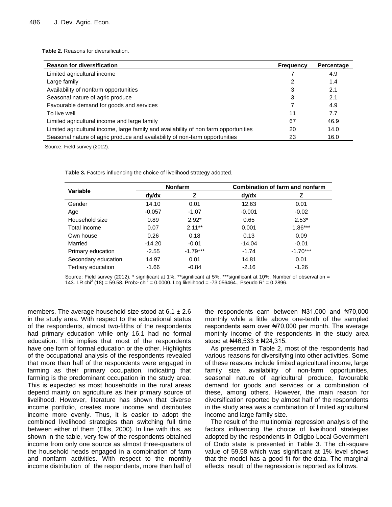**Table 2.** Reasons for diversification.

| <b>Reason for diversification</b>                                                    | <b>Frequency</b> | Percentage |
|--------------------------------------------------------------------------------------|------------------|------------|
| Limited agricultural income                                                          |                  | 4.9        |
| Large family                                                                         | 2                | 1.4        |
| Availability of nonfarm opportunities                                                | 3                | 2.1        |
| Seasonal nature of agric produce                                                     | 3                | 2.1        |
| Favourable demand for goods and services                                             |                  | 4.9        |
| To live well                                                                         | 11               | 7.7        |
| Limited agricultural income and large family                                         | 67               | 46.9       |
| Limited agricultural income, large family and availability of non farm opportunities | 20               | 14.0       |
| Seasonal nature of agric produce and availability of non-farm opportunities          | 23               | 16.0       |

Source: Field survey (2012).

**Table 3.** Factors influencing the choice of livelihood strategy adopted.

| Variable            |          | <b>Nonfarm</b> |          | <b>Combination of farm and nonfarm</b> |  |
|---------------------|----------|----------------|----------|----------------------------------------|--|
|                     | dy/dx    | z              | dy/dx    | z                                      |  |
| Gender              | 14.10    | 0.01           | 12.63    | 0.01                                   |  |
| Age                 | $-0.057$ | $-1.07$        | $-0.001$ | $-0.02$                                |  |
| Household size      | 0.89     | $2.92*$        | 0.65     | $2.53*$                                |  |
| Total income        | 0.07     | $2.11***$      | 0.001    | $1.86***$                              |  |
| Own house           | 0.26     | 0.18           | 0.13     | 0.09                                   |  |
| Married             | $-14.20$ | $-0.01$        | $-14.04$ | $-0.01$                                |  |
| Primary education   | $-2.55$  | $-1.79***$     | $-1.74$  | $-1.70***$                             |  |
| Secondary education | 14.97    | 0.01           | 14.81    | 0.01                                   |  |
| Tertiary education  | $-1.66$  | $-0.84$        | $-2.16$  | $-1.26$                                |  |

Source: Field survey (2012). \* significant at 1%, \*\*significant at 5%, \*\*\*significant at 10%. Number of observation = 143. LR chi<sup>2</sup> (18) = 59.58. Prob> chi<sup>2</sup> = 0.0000. Log likelihood = -73.056464., Pseudo R<sup>2</sup> = 0.2896.

members. The average household size stood at  $6.1 \pm 2.6$ in the study area. With respect to the educational status of the respondents, almost two-fifths of the respondents had primary education while only 16.1 had no formal education. This implies that most of the respondents have one form of formal education or the other. Highlights of the occupational analysis of the respondents revealed that more than half of the respondents were engaged in farming as their primary occupation, indicating that farming is the predominant occupation in the study area. This is expected as most households in the rural areas depend mainly on agriculture as their primary source of livelihood. However, literature has shown that diverse income portfolio, creates more income and distributes income more evenly. Thus, it is easier to adopt the combined livelihood strategies than switching full time between either of them (Ellis, 2000). In line with this, as shown in the table, very few of the respondents obtained income from only one source as almost three-quarters of the household heads engaged in a combination of farm and nonfarm activities. With respect to the monthly income distribution of the respondents, more than half of

the respondents earn between  $\text{H}31,000$  and  $\text{H}70,000$ monthly while a little above one-tenth of the sampled respondents earn over ₦70,000 per month. The average monthly income of the respondents in the study area stood at  $\frac{1}{2}46,533 \pm \frac{1}{2}4,315$ .

As presented in Table 2, most of the respondents had various reasons for diversifying into other activities. Some of these reasons include limited agricultural income, large family size, availability of non-farm opportunities, seasonal nature of agricultural produce, favourable demand for goods and services or a combination of these, among others. However, the main reason for diversification reported by almost half of the respondents in the study area was a combination of limited agricultural income and large family size.

The result of the multinomial regression analysis of the factors influencing the choice of livelihood strategies adopted by the respondents in Odigbo Local Government of Ondo state is presented in Table 3. The chi-square value of 59.58 which was significant at 1% level shows that the model has a good fit for the data. The marginal effects result of the regression is reported as follows.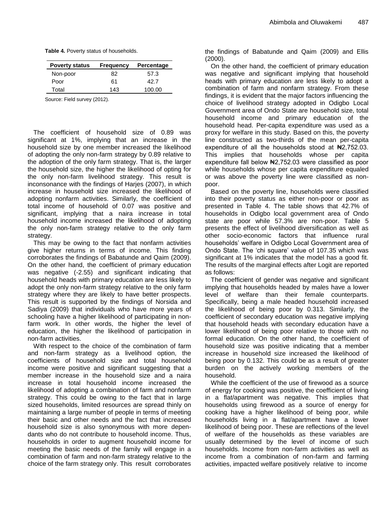|  |  | Table 4. Poverty status of households. |
|--|--|----------------------------------------|
|--|--|----------------------------------------|

| <b>Poverty status</b> | <b>Frequency</b> | Percentage |
|-----------------------|------------------|------------|
| Non-poor              | 82               | 57.3       |
| Poor                  | 61               | 42.7       |
| Total                 | 143              | 100.00     |

Source: Field survey (2012).

The coefficient of household size of 0.89 was significant at 1%, implying that an increase in the household size by one member increased the likelihood of adopting the only non-farm strategy by 0.89 relative to the adoption of the only farm strategy. That is, the larger the household size, the higher the likelihood of opting for the only non-farm livelihood strategy. This result is inconsonance with the findings of Harjes (2007), in which increase in household size increased the likelihood of adopting nonfarm activities. Similarly, the coefficient of total income of household of 0.07 was positive and significant, implying that a naira increase in total household income increased the likelihood of adopting the only non-farm strategy relative to the only farm strategy.

This may be owing to the fact that nonfarm activities give higher returns in terms of income. This finding corroborates the findings of Babatunde and Qaim (2009). On the other hand, the coefficient of primary education was negative (-2.55) and significant indicating that household heads with primary education are less likely to adopt the only non-farm strategy relative to the only farm strategy where they are likely to have better prospects. This result is supported by the findings of Norsida and Sadiya (2009) that individuals who have more years of schooling have a higher likelihood of participating in nonfarm work. In other words, the higher the level of education, the higher the likelihood of participation in non-farm activities.

With respect to the choice of the combination of farm and non-farm strategy as a livelihood option, the coefficients of household size and total household income were positive and significant suggesting that a member increase in the household size and a naira increase in total household income increased the likelihood of adopting a combination of farm and nonfarm strategy. This could be owing to the fact that in large sized households, limited resources are spread thinly on maintaining a large number of people in terms of meeting their basic and other needs and the fact that increased household size is also synonymous with more dependants who do not contribute to household income. Thus, households in order to augment household income for meeting the basic needs of the family will engage in a combination of farm and non-farm strategy relative to the choice of the farm strategy only. This result corroborates the findings of Babatunde and Qaim (2009) and Ellis (2000).

On the other hand, the coefficient of primary education was negative and significant implying that household heads with primary education are less likely to adopt a combination of farm and nonfarm strategy. From these findings, it is evident that the major factors influencing the choice of livelihood strategy adopted in Odigbo Local Government area of Ondo State are household size, total household income and primary education of the household head. Per-capita expenditure was used as a proxy for welfare in this study. Based on this, the poverty line constructed as two-thirds of the mean per-capita expenditure of all the households stood at #2,752.03. This implies that households whose per capita expenditure fall below ₦2,752.03 were classified as poor while households whose per capita expenditure equaled or was above the poverty line were classified as nonpoor.

Based on the poverty line, households were classified into their poverty status as either non-poor or poor as presented in Table 4. The table shows that 42.7% of households in Odigbo local government area of Ondo state are poor while 57.3% are non-poor. Table 5 presents the effect of livelihood diversification as well as other socio-economic factors that influence rural households' welfare in Odigbo Local Government area of Ondo State. The 'chi square' value of 107.35 which was significant at 1% indicates that the model has a good fit. The results of the marginal effects after Logit are reported as follows:

The coefficient of gender was negative and significant implying that households headed by males have a lower level of welfare than their female counterparts. Specifically, being a male headed household increased the likelihood of being poor by 0.313. Similarly, the coefficient of secondary education was negative implying that household heads with secondary education have a lower likelihood of being poor relative to those with no formal education. On the other hand, the coefficient of household size was positive indicating that a member increase in household size increased the likelihood of being poor by 0.132. This could be as a result of greater burden on the actively working members of the household.

While the coefficient of the use of firewood as a source of energy for cooking was positive, the coefficient of living in a flat/apartment was negative. This implies that households using firewood as a source of energy for cooking have a higher likelihood of being poor, while households living in a flat/apartment have a lower likelihood of being poor. These are reflections of the level of welfare of the households as these variables are usually determined by the level of income of such households. Income from non-farm activities as well as income from a combination of non-farm and farming activities, impacted welfare positively relative to income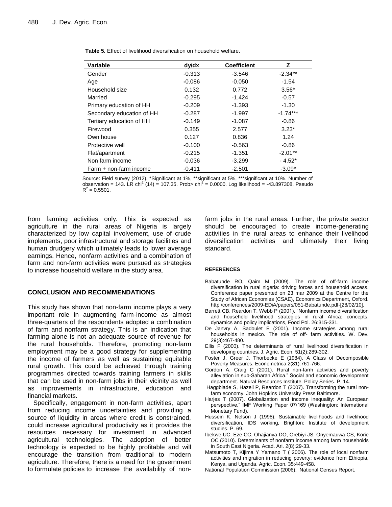| Variable                  | dy/dx    | <b>Coefficient</b> | z          |
|---------------------------|----------|--------------------|------------|
| Gender                    | $-0.313$ | $-3.546$           | $-2.34**$  |
| Age                       | $-0.086$ | $-0.050$           | $-1.54$    |
| Household size            | 0.132    | 0.772              | $3.56*$    |
| Married                   | $-0.295$ | $-1.424$           | $-0.57$    |
| Primary education of HH   | $-0.209$ | $-1.393$           | $-1.30$    |
| Secondary education of HH | $-0.287$ | $-1.997$           | $-1.74***$ |
| Tertiary education of HH  | $-0.149$ | $-1.087$           | $-0.86$    |
| Firewood                  | 0.355    | 2.577              | $3.23*$    |
| Own house                 | 0.127    | 0.836              | 1.24       |
| Protective well           | $-0.100$ | $-0.563$           | $-0.86$    |
| Flat/apartment            | $-0.215$ | $-1.351$           | $-2.01**$  |
| Non farm income           | $-0.036$ | $-3.299$           | $-4.52*$   |
| Farm + non-farm income    | $-0.411$ | $-2.501$           | $-3.09*$   |

**Table 5.** Effect of livelihood diversification on household welfare.

Source: Field survey (2012). \*Significant at 1%, \*\*significant at 5%, \*\*\*significant at 10%. Number of observation = 143. LR chi<sup>2</sup> (14) = 107.35. Prob> chi<sup>2</sup> = 0.0000. Log likelihood = -43.897308. Pseudo  $R^2 = 0.5501$ .

from farming activities only. This is expected as agriculture in the rural areas of Nigeria is largely characterized by low capital involvement, use of crude implements, poor infrastructural and storage facilities and human drudgery which ultimately leads to lower average earnings. Hence, nonfarm activities and a combination of farm and non-farm activities were pursued as strategies to increase household welfare in the study area.

## **CONCLUSION AND RECOMMENDATIONS**

This study has shown that non-farm income plays a very important role in augmenting farm-income as almost three-quarters of the respondents adopted a combination of farm and nonfarm strategy. This is an indication that farming alone is not an adequate source of revenue for the rural households. Therefore, promoting non-farm employment may be a good strategy for supplementing the income of farmers as well as sustaining equitable rural growth. This could be achieved through training programmes directed towards training farmers in skills that can be used in non-farm jobs in their vicinity as well as improvements in infrastructure, education and financial markets.

Specifically, engagement in non-farm activities, apart from reducing income uncertainties and providing a source of liquidity in areas where credit is constrained, could increase agricultural productivity as it provides the resources necessary for investment in advanced agricultural technologies. The adoption of better technology is expected to be highly profitable and will encourage the transition from traditional to modern agriculture. Therefore, there is a need for the government to formulate policies to increase the availability of nonfarm jobs in the rural areas. Further, the private sector should be encouraged to create income-generating activities in the rural areas to enhance their livelihood diversification activities and ultimately their living standard.

#### **REFERENCES**

- Babatunde RO, Qaim M (2009). The role of off-farm income diversification in rural nigeria: driving forces and household access. Conference paper presented on 23 mar 2009 at the Centre for the Study of African Economies (CSAE), Economics Department, Oxford. http /conferences/2009-EDiA/papers/051-Babatunde.pdf-[28/02/10].
- Barrett CB, Reardon T, Webb P (2001). "Nonfarm income diversification and household livelihood strategies in rural Africa: concepts, dynamics and policy implications, Food Pol. 26:315-331.
- De Janvry A, Sadoulet E (2001). Income strategies among rural households in mexico. The role of off- farm activities. W. Dev*.* 29(3):467-480.
- Ellis F (2000). The determinants of rural livelihood diversification in developing countries. J. Agric. Econ. 51(2):289-302.
- Foster J, Greer J, Thorbecke E (1984). A Class of Decomposible Poverty Measures. Econometrica 2(81):761-766.
- Gordon A, Craig C (2001). Rural non-farm activities and poverty alleviation in sub-Saharan Africa." Social and economic development department. Natural Resources Institute. Policy Series. P. 14.
- Haggblade S, Hazell P, Reardon T (2007). Transforming the rural nonfarm economy. John Hopkins University Press Baltimore.
- Harjes T (2007). Globalization and income inequality: An European perspective," IMF Working Paper 07/169 (Washington: International Monetary Fund).
- Hussein K, Nelson J (1998). Sustainable livelihoods and livelihood diversification, IDS working*,* Brighton: Institute of development studies. P. 69.
- Ibekwe UC, Eze CC, Ohajianya DO, Orebiyi JS, Onyemauwa CS, Korie OC (2010). Determinants of nonfarm income among farm households in South East Nigeria. Acad. Ari. 2(8):29-33.
- Matsumoto T, Kijima Y Yamano T ( 2006). The role of local nonfarm activities and migration in reducing poverty: evidence from Ethiopia, Kenya, and Uganda. Agric. Econ. 35:449-458.
- National Population Commission (2006). National Census Report.